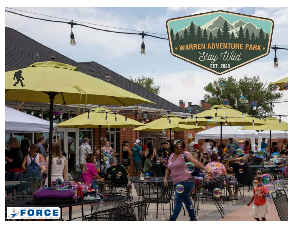